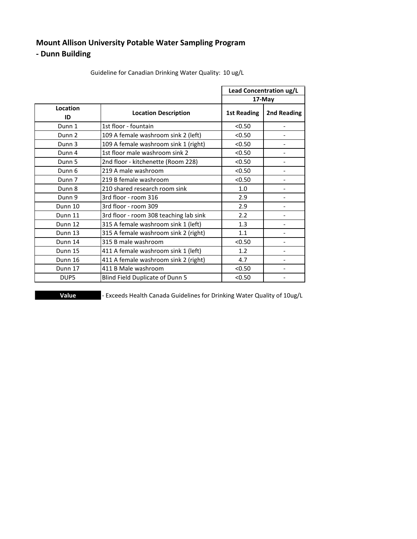## **Mount Allison University Potable Water Sampling Program**

#### **- Dunn Building**

|                   |                                        | Lead Concentration ug/L |                              |
|-------------------|----------------------------------------|-------------------------|------------------------------|
|                   |                                        |                         | 17-May                       |
| Location<br>ID    | <b>Location Description</b>            | <b>1st Reading</b>      | 2nd Reading                  |
| Dunn 1            | 1st floor - fountain                   | < 0.50                  |                              |
| Dunn 2            | 109 A female washroom sink 2 (left)    | < 0.50                  |                              |
| Dunn 3            | 109 A female washroom sink 1 (right)   | < 0.50                  |                              |
| Dunn 4            | 1st floor male washroom sink 2         | < 0.50                  |                              |
| Dunn 5            | 2nd floor - kitchenette (Room 228)     | < 0.50                  | $\qquad \qquad \blacksquare$ |
| Dunn 6            | 219 A male washroom                    | < 0.50                  |                              |
| Dunn <sub>7</sub> | 219 B female washroom                  | < 0.50                  |                              |
| Dunn 8            | 210 shared research room sink          | 1.0                     |                              |
| Dunn 9            | 3rd floor - room 316                   | 2.9                     |                              |
| Dunn 10           | 3rd floor - room 309                   | 2.9                     |                              |
| Dunn 11           | 3rd floor - room 308 teaching lab sink | 2.2                     |                              |
| Dunn 12           | 315 A female washroom sink 1 (left)    | 1.3                     |                              |
| Dunn 13           | 315 A female washroom sink 2 (right)   | 1.1                     |                              |
| Dunn 14           | 315 B male washroom                    | < 0.50                  |                              |
| Dunn 15           | 411 A female washroom sink 1 (left)    | 1.2                     | $\overline{\phantom{a}}$     |
| Dunn 16           | 411 A female washroom sink 2 (right)   | 4.7                     |                              |
| Dunn 17           | 411 B Male washroom                    | < 0.50                  |                              |
| DUP <sub>5</sub>  | Blind Field Duplicate of Dunn 5        | < 0.50                  | $\overline{\phantom{a}}$     |

Guideline for Canadian Drinking Water Quality: 10 ug/L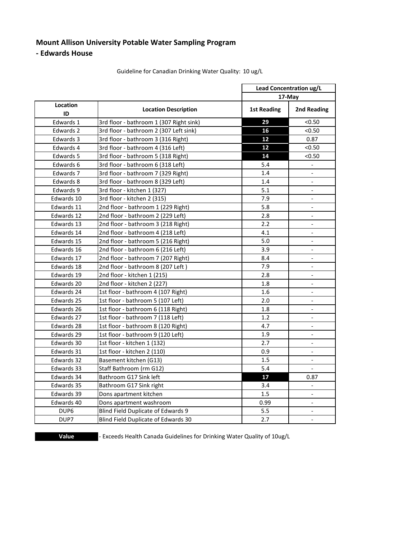#### **Mount Allison University Potable Water Sampling Program**

**- Edwards House**

|                  |                                         | Lead Concentration ug/L |                          |  |
|------------------|-----------------------------------------|-------------------------|--------------------------|--|
|                  |                                         |                         | 17-May                   |  |
| Location<br>ID   | <b>Location Description</b>             | <b>1st Reading</b>      | 2nd Reading              |  |
| Edwards 1        | 3rd floor - bathroom 1 (307 Right sink) | 29                      | < 0.50                   |  |
| Edwards 2        | 3rd floor - bathroom 2 (307 Left sink)  | 16                      | < 0.50                   |  |
| Edwards 3        | 3rd floor - bathroom 3 (316 Right)      | 12                      | 0.87                     |  |
| Edwards 4        | 3rd floor - bathroom 4 (316 Left)       | 12                      | < 0.50                   |  |
| Edwards 5        | 3rd floor - bathroom 5 (318 Right)      | 14                      | < 0.50                   |  |
| Edwards 6        | 3rd floor - bathroom 6 (318 Left)       | 5.4                     | $\overline{\phantom{a}}$ |  |
| Edwards 7        | 3rd floor - bathroom 7 (329 Right)      | 1.4                     |                          |  |
| Edwards 8        | 3rd floor - bathroom 8 (329 Left)       | 1.4                     | $\mathbb{L}$             |  |
| Edwards 9        | 3rd floor - kitchen 1 (327)             | 5.1                     | $\overline{\phantom{a}}$ |  |
| Edwards 10       | 3rd floor - kitchen 2 (315)             | 7.9                     | $\overline{\phantom{a}}$ |  |
| Edwards 11       | 2nd floor - bathroom 1 (229 Right)      | 5.8                     | $\overline{\phantom{a}}$ |  |
| Edwards 12       | 2nd floor - bathroom 2 (229 Left)       | 2.8                     |                          |  |
| Edwards 13       | 2nd floor - bathroom 3 (218 Right)      | 2.2                     | $\overline{\phantom{a}}$ |  |
| Edwards 14       | 2nd floor - bathroom 4 (218 Left)       | 4.1                     | $\overline{\phantom{a}}$ |  |
| Edwards 15       | 2nd floor - bathroom 5 (216 Right)      | 5.0                     |                          |  |
| Edwards 16       | 2nd floor - bathroom 6 (216 Left)       | 3.9                     | $\blacksquare$           |  |
| Edwards 17       | 2nd floor - bathroom 7 (207 Right)      | 8.4                     | $\overline{\phantom{a}}$ |  |
| Edwards 18       | 2nd floor - bathroom 8 (207 Left)       | 7.9                     | $\overline{\phantom{a}}$ |  |
| Edwards 19       | 2nd floor - kitchen 1 (215)             | 2.8                     | $\overline{a}$           |  |
| Edwards 20       | 2nd floor - kitchen 2 (227)             | 1.8                     | $\overline{\phantom{a}}$ |  |
| Edwards 24       | 1st floor - bathroom 4 (107 Right)      | 1.6                     | $\overline{\phantom{a}}$ |  |
| Edwards 25       | 1st floor - bathroom 5 (107 Left)       | 2.0                     | $\overline{\phantom{a}}$ |  |
| Edwards 26       | 1st floor - bathroom 6 (118 Right)      | 1.8                     | $\Box$                   |  |
| Edwards 27       | 1st floor - bathroom 7 (118 Left)       | 1.2                     | $\overline{\phantom{a}}$ |  |
| Edwards 28       | 1st floor - bathroom 8 (120 Right)      | 4.7                     | $\overline{\phantom{a}}$ |  |
| Edwards 29       | 1st floor - bathroom 9 (120 Left)       | 1.9                     | $\overline{\phantom{a}}$ |  |
| Edwards 30       | 1st floor - kitchen 1 (132)             | 2.7                     | $\overline{a}$           |  |
| Edwards 31       | 1st floor - kitchen 2 (110)             | 0.9                     | $\overline{\phantom{a}}$ |  |
| Edwards 32       | Basement kitchen (G13)                  | 1.5                     | $\overline{\phantom{a}}$ |  |
| Edwards 33       | Staff Bathroom (rm G12)                 | 5.4                     |                          |  |
| Edwards 34       | Bathroom G17 Sink left                  | 17                      | 0.87                     |  |
| Edwards 35       | Bathroom G17 Sink right                 | 3.4                     | $\blacksquare$           |  |
| Edwards 39       | Dons apartment kitchen                  | 1.5                     | $\overline{\phantom{a}}$ |  |
| Edwards 40       | Dons apartment washroom                 | 0.99                    | $\overline{\phantom{a}}$ |  |
| DUP <sub>6</sub> | Blind Field Duplicate of Edwards 9      | $5.5\,$                 | $\blacksquare$           |  |
| DUP7             | Blind Field Duplicate of Edwards 30     | 2.7                     | $\overline{a}$           |  |

Guideline for Canadian Drinking Water Quality: 10 ug/L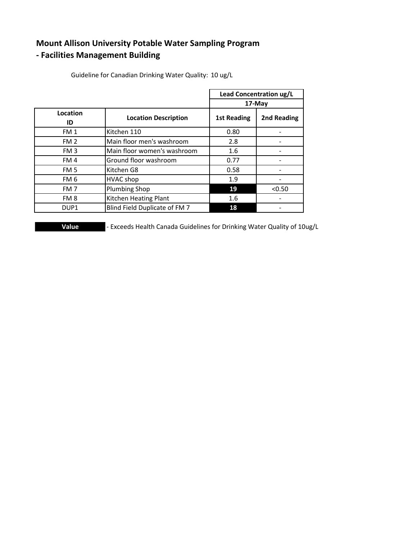# **Mount Allison University Potable Water Sampling Program**

## **- Facilities Management Building**

|                  |                               | Lead Concentration ug/L<br>17-May |             |
|------------------|-------------------------------|-----------------------------------|-------------|
|                  |                               |                                   |             |
| Location         | <b>Location Description</b>   | <b>1st Reading</b>                | 2nd Reading |
| ID               |                               |                                   |             |
| FM <sub>1</sub>  | Kitchen 110                   | 0.80                              |             |
| FM <sub>2</sub>  | Main floor men's washroom     | 2.8                               |             |
| FM <sub>3</sub>  | Main floor women's washroom   | 1.6                               |             |
| FM <sub>4</sub>  | Ground floor washroom         | 0.77                              |             |
| FM <sub>5</sub>  | Kitchen G8                    | 0.58                              |             |
| FM <sub>6</sub>  | <b>HVAC</b> shop              | 1.9                               |             |
| FM <sub>7</sub>  | <b>Plumbing Shop</b>          | 19                                | < 0.50      |
| FM <sub>8</sub>  | Kitchen Heating Plant         | 1.6                               |             |
| DUP <sub>1</sub> | Blind Field Duplicate of FM 7 | 18                                |             |

Guideline for Canadian Drinking Water Quality: 10 ug/L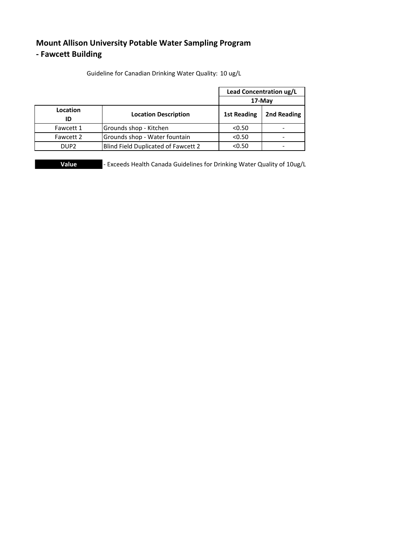## **Mount Allison University Potable Water Sampling Program - Fawcett Building**

|                  |                                     | Lead Concentration ug/L |                          |
|------------------|-------------------------------------|-------------------------|--------------------------|
|                  |                                     | 17-May                  |                          |
| Location         | <b>Location Description</b>         | <b>1st Reading</b>      | 2nd Reading              |
| ID               |                                     |                         |                          |
| Fawcett 1        | Grounds shop - Kitchen              | < 0.50                  | $\overline{\phantom{0}}$ |
| Fawcett 2        | Grounds shop - Water fountain       | < 0.50                  |                          |
| DUP <sub>2</sub> | Blind Field Duplicated of Fawcett 2 | < 0.50                  |                          |

Guideline for Canadian Drinking Water Quality: 10 ug/L